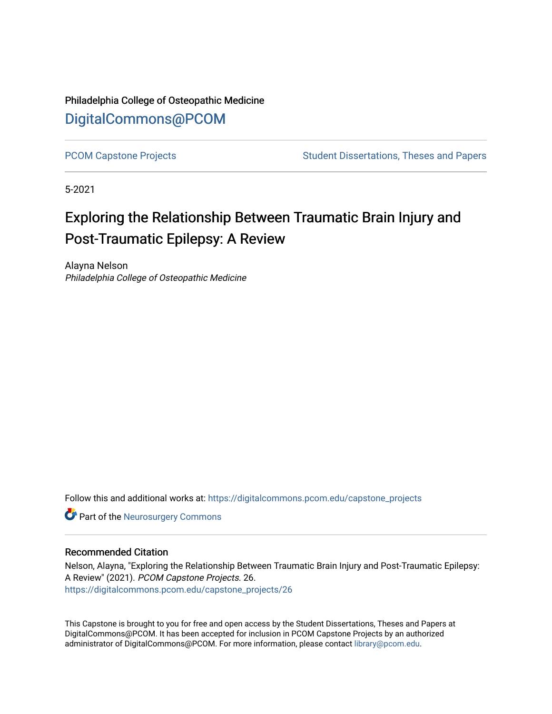Philadelphia College of Osteopathic Medicine [DigitalCommons@PCOM](https://digitalcommons.pcom.edu/) 

[PCOM Capstone Projects](https://digitalcommons.pcom.edu/capstone_projects) **Student Dissertations, Theses and Papers** Student Dissertations, Theses and Papers

5-2021

# Exploring the Relationship Between Traumatic Brain Injury and Post-Traumatic Epilepsy: A Review

Alayna Nelson Philadelphia College of Osteopathic Medicine

Follow this and additional works at: [https://digitalcommons.pcom.edu/capstone\\_projects](https://digitalcommons.pcom.edu/capstone_projects?utm_source=digitalcommons.pcom.edu%2Fcapstone_projects%2F26&utm_medium=PDF&utm_campaign=PDFCoverPages)

**Part of the Neurosurgery Commons** 

### Recommended Citation

Nelson, Alayna, "Exploring the Relationship Between Traumatic Brain Injury and Post-Traumatic Epilepsy: A Review" (2021). PCOM Capstone Projects. 26. [https://digitalcommons.pcom.edu/capstone\\_projects/26](https://digitalcommons.pcom.edu/capstone_projects/26?utm_source=digitalcommons.pcom.edu%2Fcapstone_projects%2F26&utm_medium=PDF&utm_campaign=PDFCoverPages) 

This Capstone is brought to you for free and open access by the Student Dissertations, Theses and Papers at DigitalCommons@PCOM. It has been accepted for inclusion in PCOM Capstone Projects by an authorized administrator of DigitalCommons@PCOM. For more information, please contact [library@pcom.edu.](mailto:library@pcom.edu)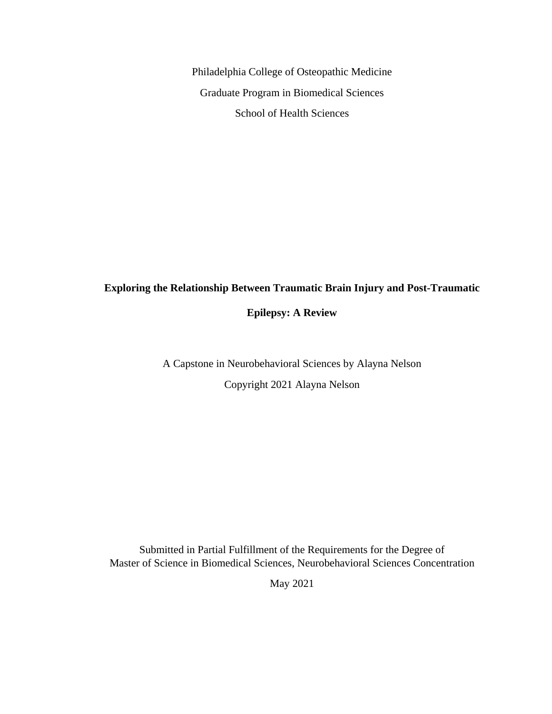Philadelphia College of Osteopathic Medicine Graduate Program in Biomedical Sciences School of Health Sciences

# **Exploring the Relationship Between Traumatic Brain Injury and Post-Traumatic**

**Epilepsy: A Review**

A Capstone in Neurobehavioral Sciences by Alayna Nelson Copyright 2021 Alayna Nelson

Submitted in Partial Fulfillment of the Requirements for the Degree of Master of Science in Biomedical Sciences, Neurobehavioral Sciences Concentration

May 2021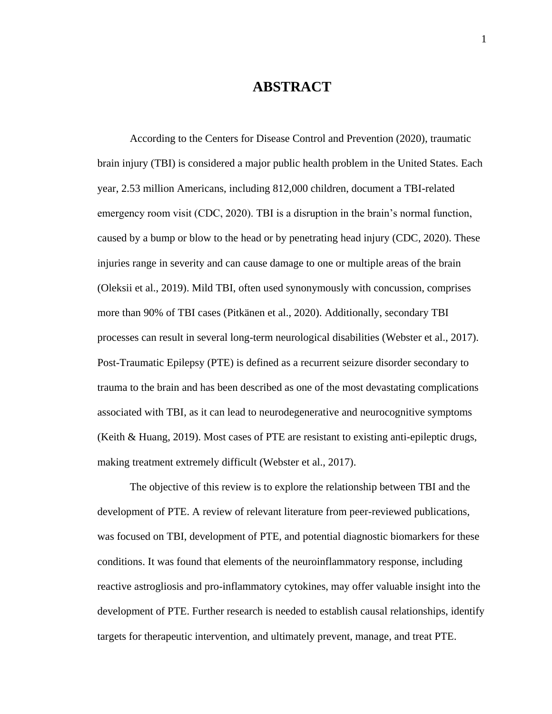# **ABSTRACT**

According to the Centers for Disease Control and Prevention (2020), traumatic brain injury (TBI) is considered a major public health problem in the United States. Each year, 2.53 million Americans, including 812,000 children, document a TBI-related emergency room visit (CDC, 2020). TBI is a disruption in the brain's normal function, caused by a bump or blow to the head or by penetrating head injury (CDC, 2020). These injuries range in severity and can cause damage to one or multiple areas of the brain (Oleksii et al., 2019). Mild TBI, often used synonymously with concussion, comprises more than 90% of TBI cases (Pitkänen et al., 2020). Additionally, secondary TBI processes can result in several long-term neurological disabilities (Webster et al., 2017). Post-Traumatic Epilepsy (PTE) is defined as a recurrent seizure disorder secondary to trauma to the brain and has been described as one of the most devastating complications associated with TBI, as it can lead to neurodegenerative and neurocognitive symptoms (Keith & Huang, 2019). Most cases of PTE are resistant to existing anti-epileptic drugs, making treatment extremely difficult (Webster et al., 2017).

The objective of this review is to explore the relationship between TBI and the development of PTE. A review of relevant literature from peer-reviewed publications, was focused on TBI, development of PTE, and potential diagnostic biomarkers for these conditions. It was found that elements of the neuroinflammatory response, including reactive astrogliosis and pro-inflammatory cytokines, may offer valuable insight into the development of PTE. Further research is needed to establish causal relationships, identify targets for therapeutic intervention, and ultimately prevent, manage, and treat PTE.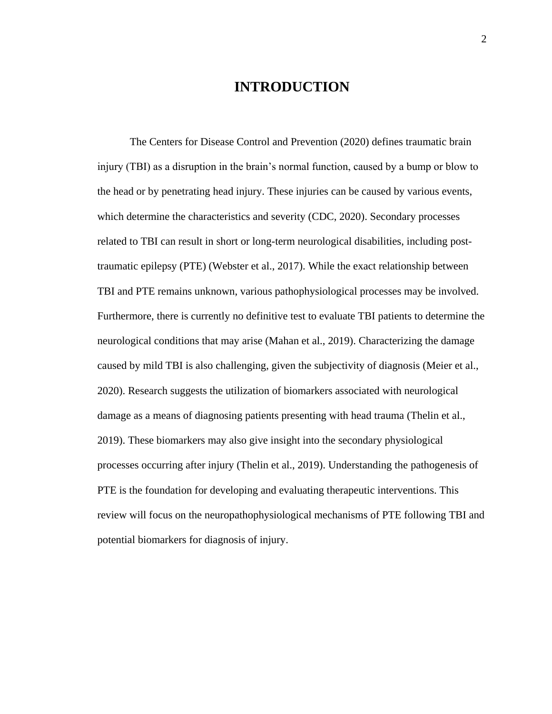# **INTRODUCTION**

The Centers for Disease Control and Prevention (2020) defines traumatic brain injury (TBI) as a disruption in the brain's normal function, caused by a bump or blow to the head or by penetrating head injury. These injuries can be caused by various events, which determine the characteristics and severity (CDC, 2020). Secondary processes related to TBI can result in short or long-term neurological disabilities, including posttraumatic epilepsy (PTE) (Webster et al., 2017). While the exact relationship between TBI and PTE remains unknown, various pathophysiological processes may be involved. Furthermore, there is currently no definitive test to evaluate TBI patients to determine the neurological conditions that may arise (Mahan et al., 2019). Characterizing the damage caused by mild TBI is also challenging, given the subjectivity of diagnosis (Meier et al., 2020). Research suggests the utilization of biomarkers associated with neurological damage as a means of diagnosing patients presenting with head trauma (Thelin et al., 2019). These biomarkers may also give insight into the secondary physiological processes occurring after injury (Thelin et al., 2019). Understanding the pathogenesis of PTE is the foundation for developing and evaluating therapeutic interventions. This review will focus on the neuropathophysiological mechanisms of PTE following TBI and potential biomarkers for diagnosis of injury.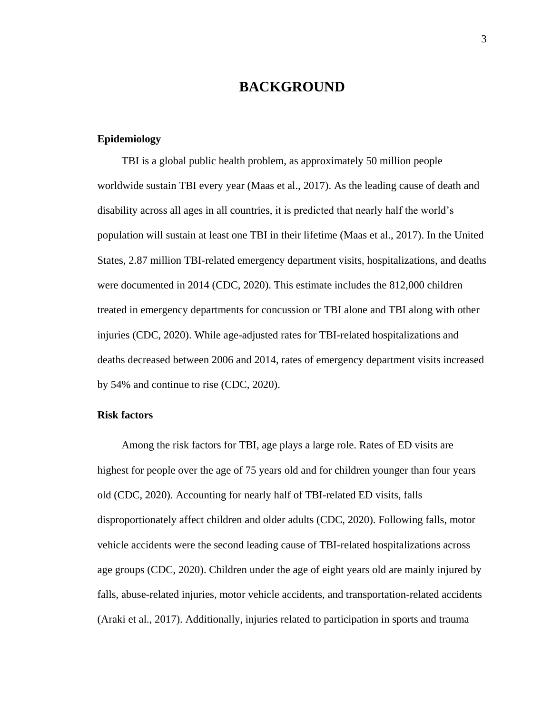# **BACKGROUND**

# **Epidemiology**

TBI is a global public health problem, as approximately 50 million people worldwide sustain TBI every year (Maas et al., 2017). As the leading cause of death and disability across all ages in all countries, it is predicted that nearly half the world's population will sustain at least one TBI in their lifetime (Maas et al., 2017). In the United States, 2.87 million TBI-related emergency department visits, hospitalizations, and deaths were documented in 2014 (CDC, 2020). This estimate includes the 812,000 children treated in emergency departments for concussion or TBI alone and TBI along with other injuries (CDC, 2020). While age-adjusted rates for TBI-related hospitalizations and deaths decreased between 2006 and 2014, rates of emergency department visits increased by 54% and continue to rise (CDC, 2020).

# **Risk factors**

Among the risk factors for TBI, age plays a large role. Rates of ED visits are highest for people over the age of 75 years old and for children younger than four years old (CDC, 2020). Accounting for nearly half of TBI-related ED visits, falls disproportionately affect children and older adults (CDC, 2020). Following falls, motor vehicle accidents were the second leading cause of TBI-related hospitalizations across age groups (CDC, 2020). Children under the age of eight years old are mainly injured by falls, abuse-related injuries, motor vehicle accidents, and transportation-related accidents (Araki et al., 2017). Additionally, injuries related to participation in sports and trauma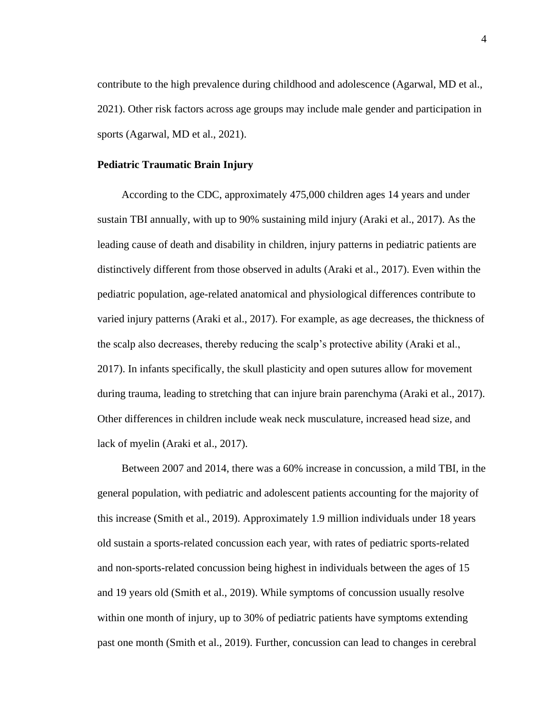contribute to the high prevalence during childhood and adolescence (Agarwal, MD et al., 2021). Other risk factors across age groups may include male gender and participation in sports (Agarwal, MD et al., 2021).

### **Pediatric Traumatic Brain Injury**

According to the CDC, approximately 475,000 children ages 14 years and under sustain TBI annually, with up to 90% sustaining mild injury (Araki et al., 2017). As the leading cause of death and disability in children, injury patterns in pediatric patients are distinctively different from those observed in adults (Araki et al., 2017). Even within the pediatric population, age-related anatomical and physiological differences contribute to varied injury patterns (Araki et al., 2017). For example, as age decreases, the thickness of the scalp also decreases, thereby reducing the scalp's protective ability (Araki et al., 2017). In infants specifically, the skull plasticity and open sutures allow for movement during trauma, leading to stretching that can injure brain parenchyma (Araki et al., 2017). Other differences in children include weak neck musculature, increased head size, and lack of myelin (Araki et al., 2017).

Between 2007 and 2014, there was a 60% increase in concussion, a mild TBI, in the general population, with pediatric and adolescent patients accounting for the majority of this increase (Smith et al., 2019). Approximately 1.9 million individuals under 18 years old sustain a sports-related concussion each year, with rates of pediatric sports-related and non-sports-related concussion being highest in individuals between the ages of 15 and 19 years old (Smith et al., 2019). While symptoms of concussion usually resolve within one month of injury, up to 30% of pediatric patients have symptoms extending past one month (Smith et al., 2019). Further, concussion can lead to changes in cerebral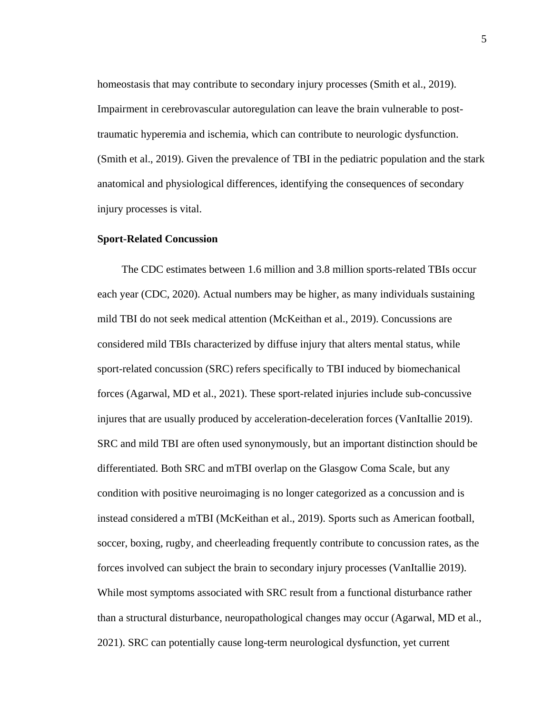homeostasis that may contribute to secondary injury processes (Smith et al., 2019). Impairment in cerebrovascular autoregulation can leave the brain vulnerable to posttraumatic hyperemia and ischemia, which can contribute to neurologic dysfunction. (Smith et al., 2019). Given the prevalence of TBI in the pediatric population and the stark anatomical and physiological differences, identifying the consequences of secondary injury processes is vital.

### **Sport-Related Concussion**

The CDC estimates between 1.6 million and 3.8 million sports-related TBIs occur each year (CDC, 2020). Actual numbers may be higher, as many individuals sustaining mild TBI do not seek medical attention (McKeithan et al., 2019). Concussions are considered mild TBIs characterized by diffuse injury that alters mental status, while sport-related concussion (SRC) refers specifically to TBI induced by biomechanical forces (Agarwal, MD et al., 2021). These sport-related injuries include sub-concussive injures that are usually produced by acceleration-deceleration forces (VanItallie 2019). SRC and mild TBI are often used synonymously, but an important distinction should be differentiated. Both SRC and mTBI overlap on the Glasgow Coma Scale, but any condition with positive neuroimaging is no longer categorized as a concussion and is instead considered a mTBI (McKeithan et al., 2019). Sports such as American football, soccer, boxing, rugby, and cheerleading frequently contribute to concussion rates, as the forces involved can subject the brain to secondary injury processes (VanItallie 2019). While most symptoms associated with SRC result from a functional disturbance rather than a structural disturbance, neuropathological changes may occur (Agarwal, MD et al., 2021). SRC can potentially cause long-term neurological dysfunction, yet current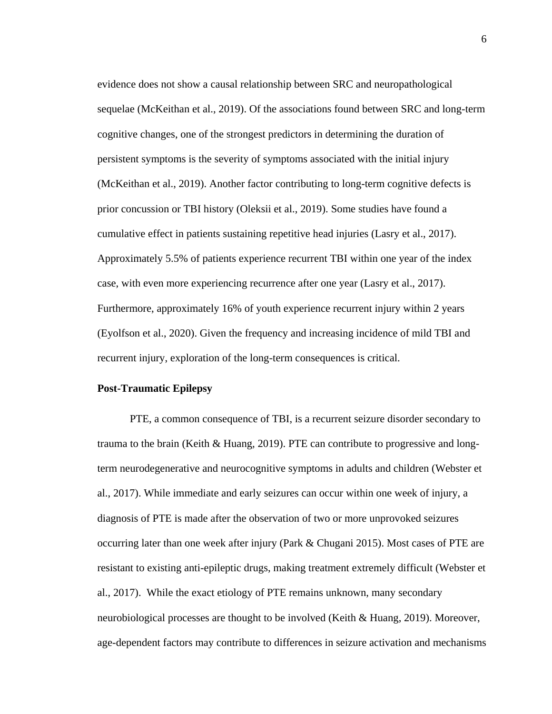evidence does not show a causal relationship between SRC and neuropathological sequelae (McKeithan et al., 2019). Of the associations found between SRC and long-term cognitive changes, one of the strongest predictors in determining the duration of persistent symptoms is the severity of symptoms associated with the initial injury (McKeithan et al., 2019). Another factor contributing to long-term cognitive defects is prior concussion or TBI history (Oleksii et al., 2019). Some studies have found a cumulative effect in patients sustaining repetitive head injuries (Lasry et al., 2017). Approximately 5.5% of patients experience recurrent TBI within one year of the index case, with even more experiencing recurrence after one year (Lasry et al., 2017). Furthermore, approximately 16% of youth experience recurrent injury within 2 years (Eyolfson et al., 2020). Given the frequency and increasing incidence of mild TBI and recurrent injury, exploration of the long-term consequences is critical.

### **Post-Traumatic Epilepsy**

PTE, a common consequence of TBI, is a recurrent seizure disorder secondary to trauma to the brain (Keith & Huang, 2019). PTE can contribute to progressive and longterm neurodegenerative and neurocognitive symptoms in adults and children (Webster et al., 2017). While immediate and early seizures can occur within one week of injury, a diagnosis of PTE is made after the observation of two or more unprovoked seizures occurring later than one week after injury (Park & Chugani 2015). Most cases of PTE are resistant to existing anti-epileptic drugs, making treatment extremely difficult (Webster et al., 2017). While the exact etiology of PTE remains unknown, many secondary neurobiological processes are thought to be involved (Keith & Huang, 2019). Moreover, age-dependent factors may contribute to differences in seizure activation and mechanisms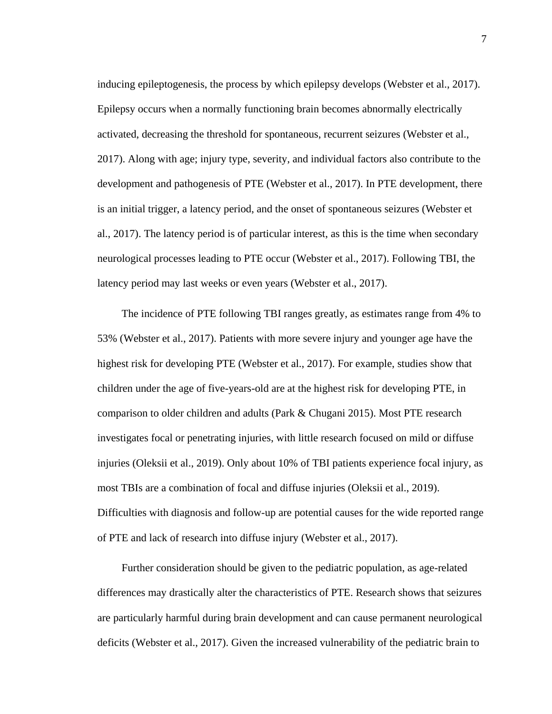inducing epileptogenesis, the process by which epilepsy develops (Webster et al., 2017). Epilepsy occurs when a normally functioning brain becomes abnormally electrically activated, decreasing the threshold for spontaneous, recurrent seizures (Webster et al., 2017). Along with age; injury type, severity, and individual factors also contribute to the development and pathogenesis of PTE (Webster et al., 2017). In PTE development, there is an initial trigger, a latency period, and the onset of spontaneous seizures (Webster et al., 2017). The latency period is of particular interest, as this is the time when secondary neurological processes leading to PTE occur (Webster et al., 2017). Following TBI, the latency period may last weeks or even years (Webster et al., 2017).

The incidence of PTE following TBI ranges greatly, as estimates range from 4% to 53% (Webster et al., 2017). Patients with more severe injury and younger age have the highest risk for developing PTE (Webster et al., 2017). For example, studies show that children under the age of five-years-old are at the highest risk for developing PTE, in comparison to older children and adults (Park & Chugani 2015). Most PTE research investigates focal or penetrating injuries, with little research focused on mild or diffuse injuries (Oleksii et al., 2019). Only about 10% of TBI patients experience focal injury, as most TBIs are a combination of focal and diffuse injuries (Oleksii et al., 2019). Difficulties with diagnosis and follow-up are potential causes for the wide reported range of PTE and lack of research into diffuse injury (Webster et al., 2017).

Further consideration should be given to the pediatric population, as age-related differences may drastically alter the characteristics of PTE. Research shows that seizures are particularly harmful during brain development and can cause permanent neurological deficits (Webster et al., 2017). Given the increased vulnerability of the pediatric brain to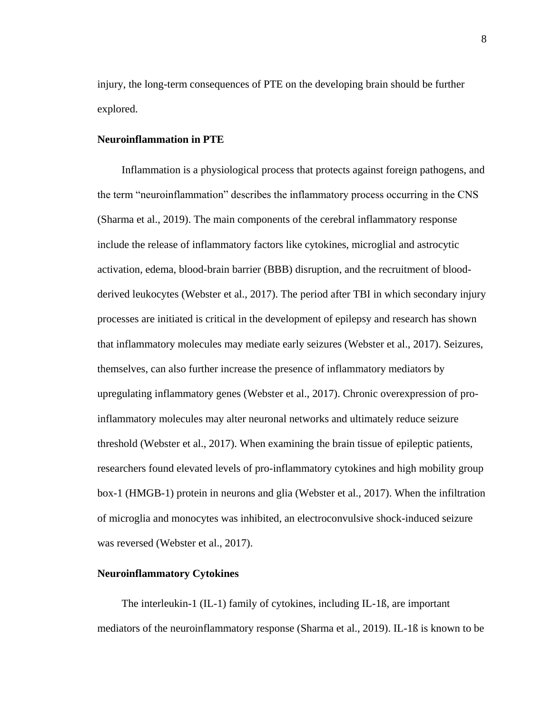injury, the long-term consequences of PTE on the developing brain should be further explored.

# **Neuroinflammation in PTE**

Inflammation is a physiological process that protects against foreign pathogens, and the term "neuroinflammation" describes the inflammatory process occurring in the CNS (Sharma et al., 2019). The main components of the cerebral inflammatory response include the release of inflammatory factors like cytokines, microglial and astrocytic activation, edema, blood-brain barrier (BBB) disruption, and the recruitment of bloodderived leukocytes (Webster et al., 2017). The period after TBI in which secondary injury processes are initiated is critical in the development of epilepsy and research has shown that inflammatory molecules may mediate early seizures (Webster et al., 2017). Seizures, themselves, can also further increase the presence of inflammatory mediators by upregulating inflammatory genes (Webster et al., 2017). Chronic overexpression of proinflammatory molecules may alter neuronal networks and ultimately reduce seizure threshold (Webster et al., 2017). When examining the brain tissue of epileptic patients, researchers found elevated levels of pro-inflammatory cytokines and high mobility group box-1 (HMGB-1) protein in neurons and glia (Webster et al., 2017). When the infiltration of microglia and monocytes was inhibited, an electroconvulsive shock-induced seizure was reversed (Webster et al., 2017).

#### **Neuroinflammatory Cytokines**

The interleukin-1 (IL-1) family of cytokines, including IL-1ß, are important mediators of the neuroinflammatory response (Sharma et al., 2019). IL-1ß is known to be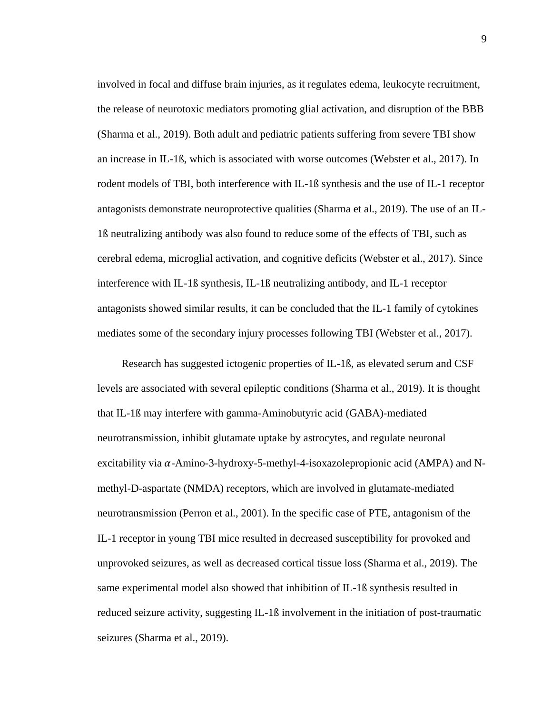involved in focal and diffuse brain injuries, as it regulates edema, leukocyte recruitment, the release of neurotoxic mediators promoting glial activation, and disruption of the BBB (Sharma et al., 2019). Both adult and pediatric patients suffering from severe TBI show an increase in IL-1ß, which is associated with worse outcomes (Webster et al., 2017). In rodent models of TBI, both interference with IL-1ß synthesis and the use of IL-1 receptor antagonists demonstrate neuroprotective qualities (Sharma et al., 2019). The use of an IL-1ß neutralizing antibody was also found to reduce some of the effects of TBI, such as cerebral edema, microglial activation, and cognitive deficits (Webster et al., 2017). Since interference with IL-1ß synthesis, IL-1ß neutralizing antibody, and IL-1 receptor antagonists showed similar results, it can be concluded that the IL-1 family of cytokines mediates some of the secondary injury processes following TBI (Webster et al., 2017).

Research has suggested ictogenic properties of IL-1ß, as elevated serum and CSF levels are associated with several epileptic conditions (Sharma et al., 2019). It is thought that IL-1ß may interfere with gamma-Aminobutyric acid (GABA)-mediated neurotransmission, inhibit glutamate uptake by astrocytes, and regulate neuronal excitability via  $\alpha$ -Amino-3-hydroxy-5-methyl-4-isoxazolepropionic acid (AMPA) and Nmethyl-D-aspartate (NMDA) receptors, which are involved in glutamate-mediated neurotransmission (Perron et al., 2001). In the specific case of PTE, antagonism of the IL-1 receptor in young TBI mice resulted in decreased susceptibility for provoked and unprovoked seizures, as well as decreased cortical tissue loss (Sharma et al., 2019). The same experimental model also showed that inhibition of IL-1ß synthesis resulted in reduced seizure activity, suggesting IL-1ß involvement in the initiation of post-traumatic seizures (Sharma et al., 2019).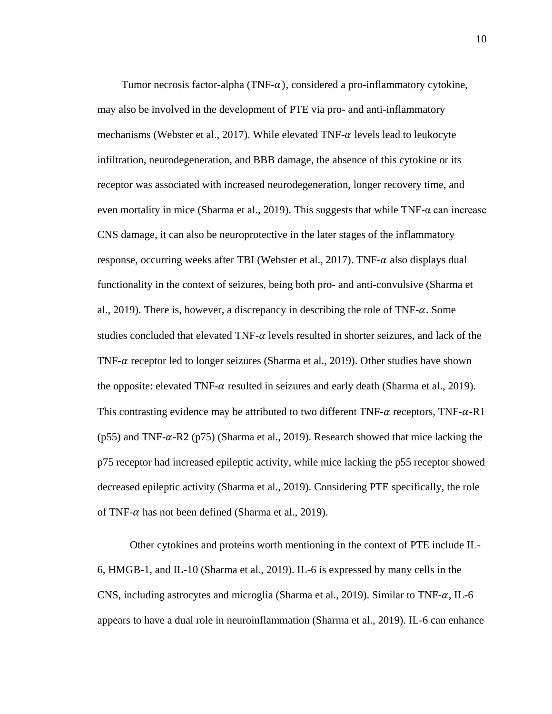Tumor necrosis factor-alpha (TNF- $\alpha$ ), considered a pro-inflammatory cytokine, may also be involved in the development of PTE via pro- and anti-inflammatory mechanisms (Webster et al., 2017). While elevated TNF- $\alpha$  levels lead to leukocyte infiltration, neurodegeneration, and BBB damage, the absence of this cytokine or its receptor was associated with increased neurodegeneration, longer recovery time, and even mortality in mice (Sharma et al., 2019). This suggests that while TNF- $\alpha$  can increase CNS damage, it can also be neuroprotective in the later stages of the inflammatory response, occurring weeks after TBI (Webster et al., 2017). TNF- $\alpha$  also displays dual functionality in the context of seizures, being both pro- and anti-convulsive (Sharma et al., 2019). There is, however, a discrepancy in describing the role of TNF- $\alpha$ . Some studies concluded that elevated TNF- $\alpha$  levels resulted in shorter seizures, and lack of the TNF- $\alpha$  receptor led to longer seizures (Sharma et al., 2019). Other studies have shown the opposite: elevated TNF- $\alpha$  resulted in seizures and early death (Sharma et al., 2019). This contrasting evidence may be attributed to two different TNF- $\alpha$  receptors, TNF- $\alpha$ -R1 (p55) and TNF- $\alpha$ -R2 (p75) (Sharma et al., 2019). Research showed that mice lacking the p75 receptor had increased epileptic activity, while mice lacking the p55 receptor showed decreased epileptic activity (Sharma et al., 2019). Considering PTE specifically, the role of TNF- $\alpha$  has not been defined (Sharma et al., 2019).

Other cytokines and proteins worth mentioning in the context of PTE include IL-6, HMGB-1, and IL-10 (Sharma et al., 2019). IL-6 is expressed by many cells in the CNS, including astrocytes and microglia (Sharma et al., 2019). Similar to TNF- $\alpha$ , IL-6 appears to have a dual role in neuroinflammation (Sharma et al., 2019). IL-6 can enhance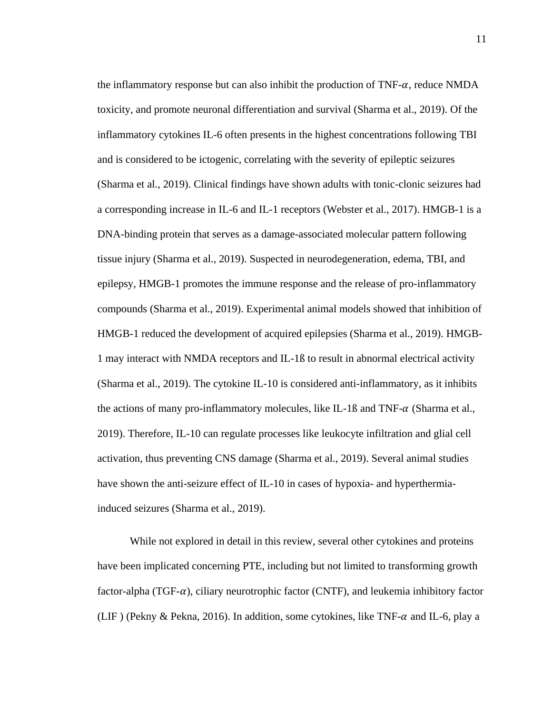the inflammatory response but can also inhibit the production of  $TNF-\alpha$ , reduce NMDA toxicity, and promote neuronal differentiation and survival (Sharma et al., 2019). Of the inflammatory cytokines IL-6 often presents in the highest concentrations following TBI and is considered to be ictogenic, correlating with the severity of epileptic seizures (Sharma et al., 2019). Clinical findings have shown adults with tonic-clonic seizures had a corresponding increase in IL-6 and IL-1 receptors (Webster et al., 2017). HMGB-1 is a DNA-binding protein that serves as a damage-associated molecular pattern following tissue injury (Sharma et al., 2019). Suspected in neurodegeneration, edema, TBI, and epilepsy, HMGB-1 promotes the immune response and the release of pro-inflammatory compounds (Sharma et al., 2019). Experimental animal models showed that inhibition of HMGB-1 reduced the development of acquired epilepsies (Sharma et al., 2019). HMGB-1 may interact with NMDA receptors and IL-1ß to result in abnormal electrical activity (Sharma et al., 2019). The cytokine IL-10 is considered anti-inflammatory, as it inhibits the actions of many pro-inflammatory molecules, like IL-1 $\beta$  and TNF- $\alpha$  (Sharma et al., 2019). Therefore, IL-10 can regulate processes like leukocyte infiltration and glial cell activation, thus preventing CNS damage (Sharma et al., 2019). Several animal studies have shown the anti-seizure effect of IL-10 in cases of hypoxia- and hyperthermiainduced seizures (Sharma et al., 2019).

While not explored in detail in this review, several other cytokines and proteins have been implicated concerning PTE, including but not limited to transforming growth factor-alpha (TGF- $\alpha$ ), ciliary neurotrophic factor (CNTF), and leukemia inhibitory factor (LIF) (Pekny & Pekna, 2016). In addition, some cytokines, like TNF- $\alpha$  and IL-6, play a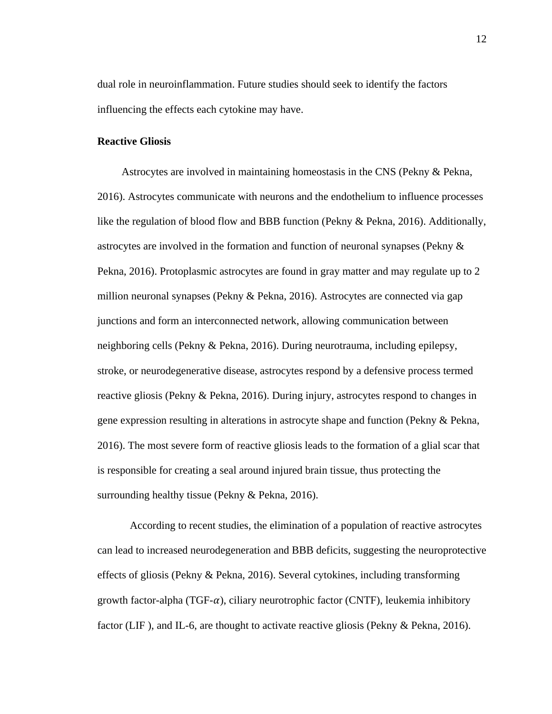dual role in neuroinflammation. Future studies should seek to identify the factors influencing the effects each cytokine may have.

## **Reactive Gliosis**

Astrocytes are involved in maintaining homeostasis in the CNS (Pekny & Pekna, 2016). Astrocytes communicate with neurons and the endothelium to influence processes like the regulation of blood flow and BBB function (Pekny & Pekna, 2016). Additionally, astrocytes are involved in the formation and function of neuronal synapses (Pekny & Pekna, 2016). Protoplasmic astrocytes are found in gray matter and may regulate up to 2 million neuronal synapses (Pekny & Pekna, 2016). Astrocytes are connected via gap junctions and form an interconnected network, allowing communication between neighboring cells (Pekny & Pekna, 2016). During neurotrauma, including epilepsy, stroke, or neurodegenerative disease, astrocytes respond by a defensive process termed reactive gliosis (Pekny & Pekna, 2016). During injury, astrocytes respond to changes in gene expression resulting in alterations in astrocyte shape and function (Pekny & Pekna, 2016). The most severe form of reactive gliosis leads to the formation of a glial scar that is responsible for creating a seal around injured brain tissue, thus protecting the surrounding healthy tissue (Pekny & Pekna, 2016).

According to recent studies, the elimination of a population of reactive astrocytes can lead to increased neurodegeneration and BBB deficits, suggesting the neuroprotective effects of gliosis (Pekny & Pekna, 2016). Several cytokines, including transforming growth factor-alpha (TGF- $\alpha$ ), ciliary neurotrophic factor (CNTF), leukemia inhibitory factor (LIF), and IL-6, are thought to activate reactive gliosis (Pekny & Pekna, 2016).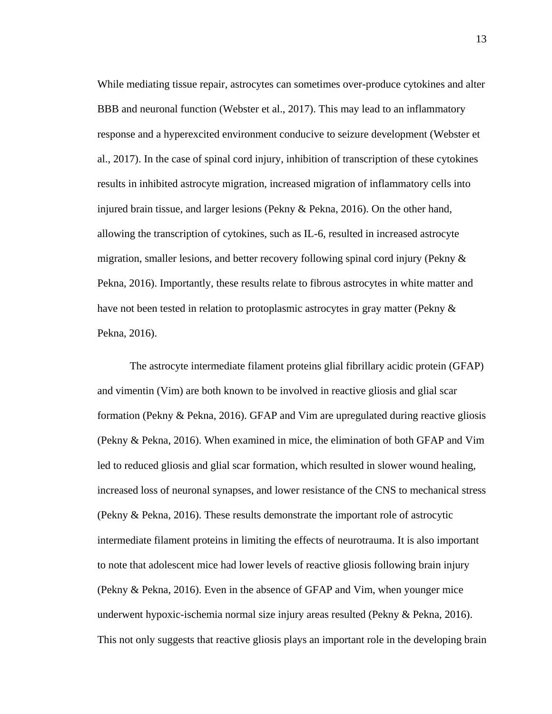While mediating tissue repair, astrocytes can sometimes over-produce cytokines and alter BBB and neuronal function (Webster et al., 2017). This may lead to an inflammatory response and a hyperexcited environment conducive to seizure development (Webster et al., 2017). In the case of spinal cord injury, inhibition of transcription of these cytokines results in inhibited astrocyte migration, increased migration of inflammatory cells into injured brain tissue, and larger lesions (Pekny & Pekna, 2016). On the other hand, allowing the transcription of cytokines, such as IL-6, resulted in increased astrocyte migration, smaller lesions, and better recovery following spinal cord injury (Pekny  $\&$ Pekna, 2016). Importantly, these results relate to fibrous astrocytes in white matter and have not been tested in relation to protoplasmic astrocytes in gray matter (Pekny & Pekna, 2016).

The astrocyte intermediate filament proteins glial fibrillary acidic protein (GFAP) and vimentin (Vim) are both known to be involved in reactive gliosis and glial scar formation (Pekny & Pekna, 2016). GFAP and Vim are upregulated during reactive gliosis (Pekny & Pekna, 2016). When examined in mice, the elimination of both GFAP and Vim led to reduced gliosis and glial scar formation, which resulted in slower wound healing, increased loss of neuronal synapses, and lower resistance of the CNS to mechanical stress (Pekny & Pekna, 2016). These results demonstrate the important role of astrocytic intermediate filament proteins in limiting the effects of neurotrauma. It is also important to note that adolescent mice had lower levels of reactive gliosis following brain injury (Pekny & Pekna, 2016). Even in the absence of GFAP and Vim, when younger mice underwent hypoxic-ischemia normal size injury areas resulted (Pekny & Pekna, 2016). This not only suggests that reactive gliosis plays an important role in the developing brain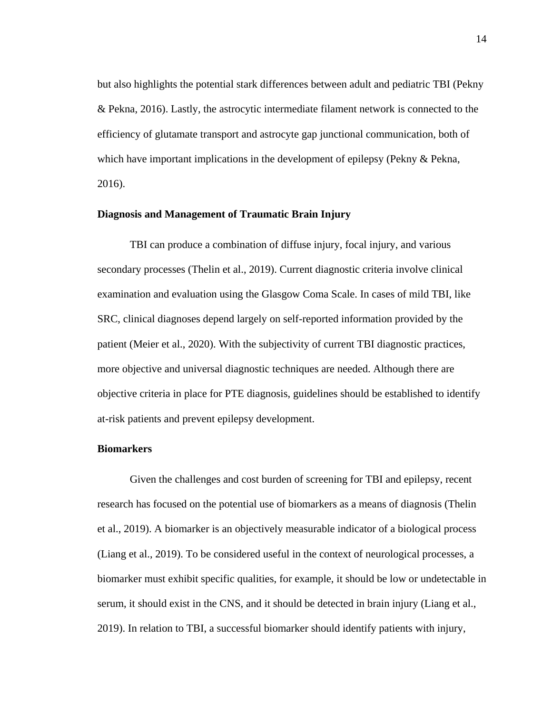but also highlights the potential stark differences between adult and pediatric TBI (Pekny & Pekna, 2016). Lastly, the astrocytic intermediate filament network is connected to the efficiency of glutamate transport and astrocyte gap junctional communication, both of which have important implications in the development of epilepsy (Pekny & Pekna, 2016).

#### **Diagnosis and Management of Traumatic Brain Injury**

TBI can produce a combination of diffuse injury, focal injury, and various secondary processes (Thelin et al., 2019). Current diagnostic criteria involve clinical examination and evaluation using the Glasgow Coma Scale. In cases of mild TBI, like SRC, clinical diagnoses depend largely on self-reported information provided by the patient (Meier et al., 2020). With the subjectivity of current TBI diagnostic practices, more objective and universal diagnostic techniques are needed. Although there are objective criteria in place for PTE diagnosis, guidelines should be established to identify at-risk patients and prevent epilepsy development.

### **Biomarkers**

Given the challenges and cost burden of screening for TBI and epilepsy, recent research has focused on the potential use of biomarkers as a means of diagnosis (Thelin et al., 2019). A biomarker is an objectively measurable indicator of a biological process (Liang et al., 2019). To be considered useful in the context of neurological processes, a biomarker must exhibit specific qualities, for example, it should be low or undetectable in serum, it should exist in the CNS, and it should be detected in brain injury (Liang et al., 2019). In relation to TBI, a successful biomarker should identify patients with injury,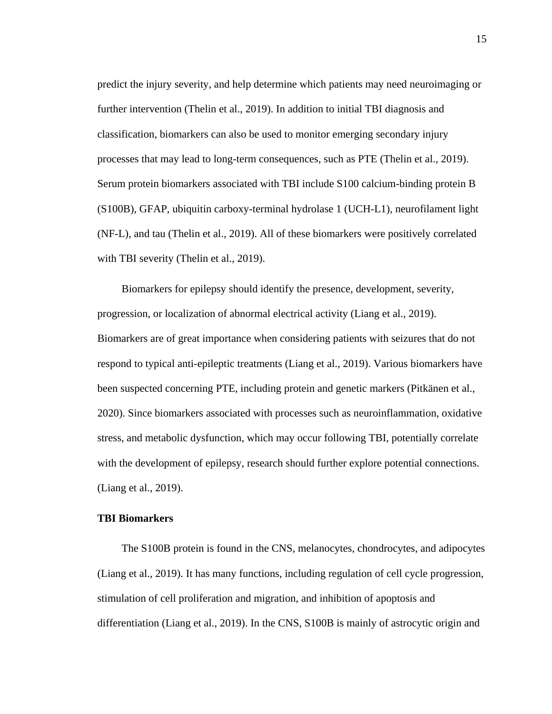predict the injury severity, and help determine which patients may need neuroimaging or further intervention (Thelin et al., 2019). In addition to initial TBI diagnosis and classification, biomarkers can also be used to monitor emerging secondary injury processes that may lead to long-term consequences, such as PTE (Thelin et al., 2019). Serum protein biomarkers associated with TBI include S100 calcium-binding protein B (S100B), GFAP, ubiquitin carboxy-terminal hydrolase 1 (UCH-L1), neurofilament light (NF-L), and tau (Thelin et al., 2019). All of these biomarkers were positively correlated with TBI severity (Thelin et al., 2019).

Biomarkers for epilepsy should identify the presence, development, severity, progression, or localization of abnormal electrical activity (Liang et al., 2019). Biomarkers are of great importance when considering patients with seizures that do not respond to typical anti-epileptic treatments (Liang et al., 2019). Various biomarkers have been suspected concerning PTE, including protein and genetic markers (Pitkänen et al., 2020). Since biomarkers associated with processes such as neuroinflammation, oxidative stress, and metabolic dysfunction, which may occur following TBI, potentially correlate with the development of epilepsy, research should further explore potential connections. (Liang et al., 2019).

# **TBI Biomarkers**

The S100B protein is found in the CNS, melanocytes, chondrocytes, and adipocytes (Liang et al., 2019). It has many functions, including regulation of cell cycle progression, stimulation of cell proliferation and migration, and inhibition of apoptosis and differentiation (Liang et al., 2019). In the CNS, S100B is mainly of astrocytic origin and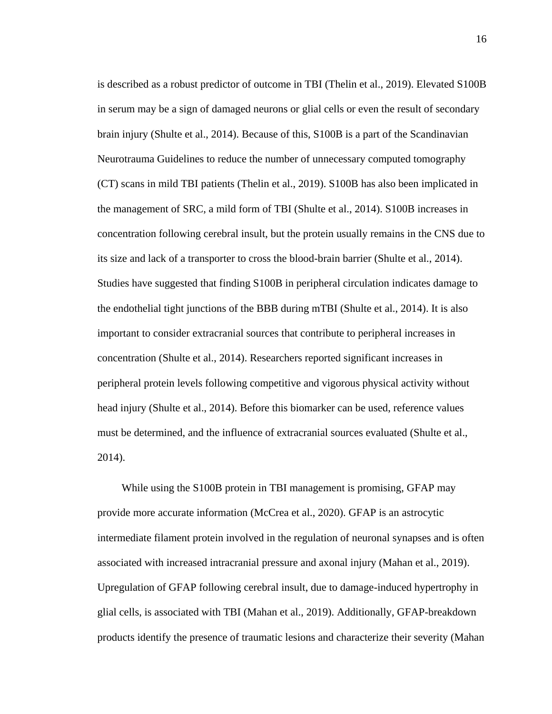is described as a robust predictor of outcome in TBI (Thelin et al., 2019). Elevated S100B in serum may be a sign of damaged neurons or glial cells or even the result of secondary brain injury (Shulte et al., 2014). Because of this, S100B is a part of the Scandinavian Neurotrauma Guidelines to reduce the number of unnecessary computed tomography (CT) scans in mild TBI patients (Thelin et al., 2019). S100B has also been implicated in the management of SRC, a mild form of TBI (Shulte et al., 2014). S100B increases in concentration following cerebral insult, but the protein usually remains in the CNS due to its size and lack of a transporter to cross the blood-brain barrier (Shulte et al., 2014). Studies have suggested that finding S100B in peripheral circulation indicates damage to the endothelial tight junctions of the BBB during mTBI (Shulte et al., 2014). It is also important to consider extracranial sources that contribute to peripheral increases in concentration (Shulte et al., 2014). Researchers reported significant increases in peripheral protein levels following competitive and vigorous physical activity without head injury (Shulte et al., 2014). Before this biomarker can be used, reference values must be determined, and the influence of extracranial sources evaluated (Shulte et al., 2014).

While using the S100B protein in TBI management is promising, GFAP may provide more accurate information (McCrea et al., 2020). GFAP is an astrocytic intermediate filament protein involved in the regulation of neuronal synapses and is often associated with increased intracranial pressure and axonal injury (Mahan et al., 2019). Upregulation of GFAP following cerebral insult, due to damage-induced hypertrophy in glial cells, is associated with TBI (Mahan et al., 2019). Additionally, GFAP-breakdown products identify the presence of traumatic lesions and characterize their severity (Mahan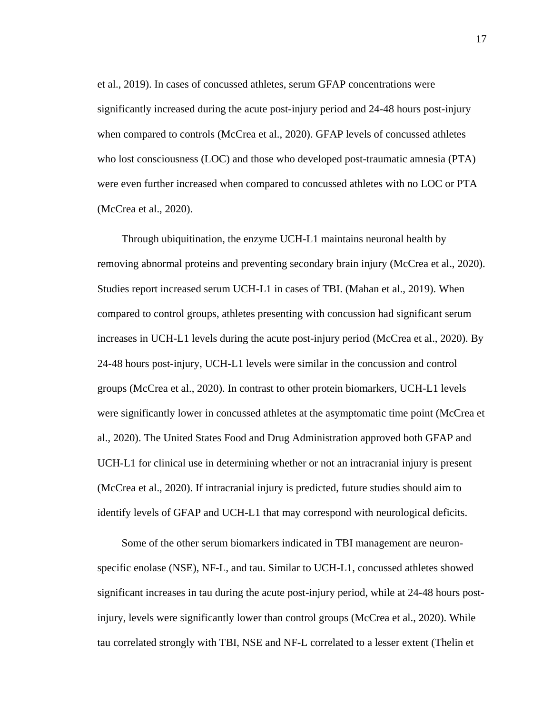et al., 2019). In cases of concussed athletes, serum GFAP concentrations were significantly increased during the acute post-injury period and 24-48 hours post-injury when compared to controls (McCrea et al., 2020). GFAP levels of concussed athletes who lost consciousness (LOC) and those who developed post-traumatic amnesia (PTA) were even further increased when compared to concussed athletes with no LOC or PTA (McCrea et al., 2020).

Through ubiquitination, the enzyme UCH-L1 maintains neuronal health by removing abnormal proteins and preventing secondary brain injury (McCrea et al., 2020). Studies report increased serum UCH-L1 in cases of TBI. (Mahan et al., 2019). When compared to control groups, athletes presenting with concussion had significant serum increases in UCH-L1 levels during the acute post-injury period (McCrea et al., 2020). By 24-48 hours post-injury, UCH-L1 levels were similar in the concussion and control groups (McCrea et al., 2020). In contrast to other protein biomarkers, UCH-L1 levels were significantly lower in concussed athletes at the asymptomatic time point (McCrea et al., 2020). The United States Food and Drug Administration approved both GFAP and UCH-L1 for clinical use in determining whether or not an intracranial injury is present (McCrea et al., 2020). If intracranial injury is predicted, future studies should aim to identify levels of GFAP and UCH-L1 that may correspond with neurological deficits.

Some of the other serum biomarkers indicated in TBI management are neuronspecific enolase (NSE), NF-L, and tau. Similar to UCH-L1, concussed athletes showed significant increases in tau during the acute post-injury period, while at 24-48 hours postinjury, levels were significantly lower than control groups (McCrea et al., 2020). While tau correlated strongly with TBI, NSE and NF-L correlated to a lesser extent (Thelin et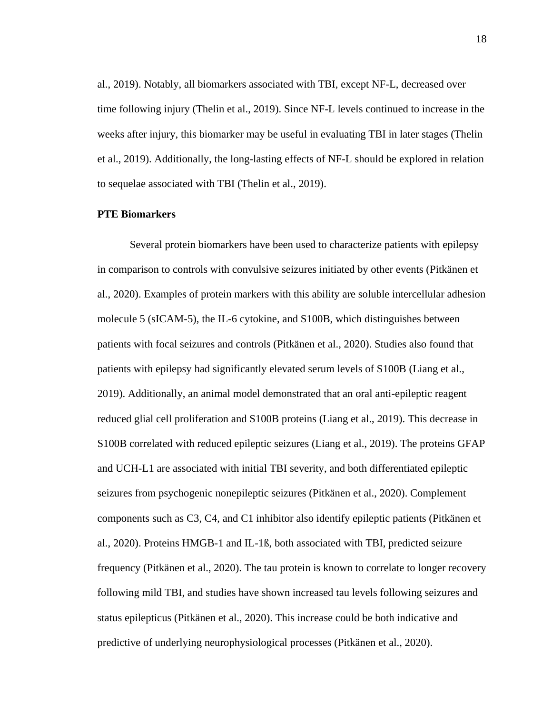al., 2019). Notably, all biomarkers associated with TBI, except NF-L, decreased over time following injury (Thelin et al., 2019). Since NF-L levels continued to increase in the weeks after injury, this biomarker may be useful in evaluating TBI in later stages (Thelin et al., 2019). Additionally, the long-lasting effects of NF-L should be explored in relation to sequelae associated with TBI (Thelin et al., 2019).

#### **PTE Biomarkers**

Several protein biomarkers have been used to characterize patients with epilepsy in comparison to controls with convulsive seizures initiated by other events (Pitkänen et al., 2020). Examples of protein markers with this ability are soluble intercellular adhesion molecule 5 (sICAM-5), the IL-6 cytokine, and S100B, which distinguishes between patients with focal seizures and controls (Pitkänen et al., 2020). Studies also found that patients with epilepsy had significantly elevated serum levels of S100B (Liang et al., 2019). Additionally, an animal model demonstrated that an oral anti-epileptic reagent reduced glial cell proliferation and S100B proteins (Liang et al., 2019). This decrease in S100B correlated with reduced epileptic seizures (Liang et al., 2019). The proteins GFAP and UCH-L1 are associated with initial TBI severity, and both differentiated epileptic seizures from psychogenic nonepileptic seizures (Pitkänen et al., 2020). Complement components such as C3, C4, and C1 inhibitor also identify epileptic patients (Pitkänen et al., 2020). Proteins HMGB-1 and IL-1ß, both associated with TBI, predicted seizure frequency (Pitkänen et al., 2020). The tau protein is known to correlate to longer recovery following mild TBI, and studies have shown increased tau levels following seizures and status epilepticus (Pitkänen et al., 2020). This increase could be both indicative and predictive of underlying neurophysiological processes (Pitkänen et al., 2020).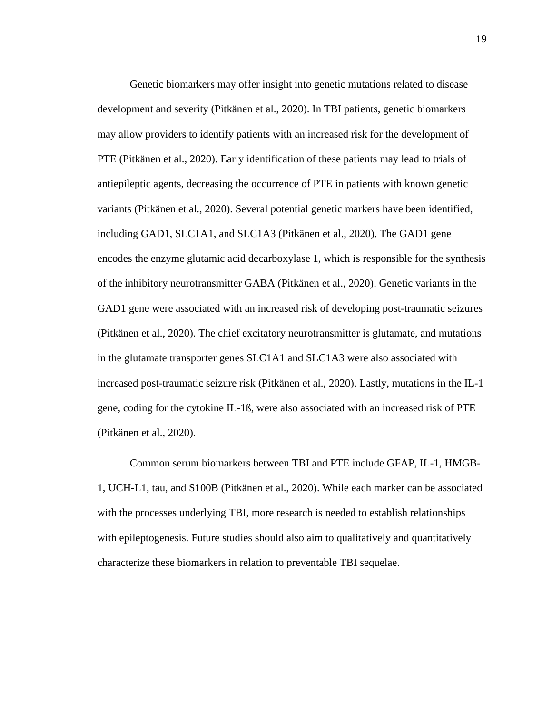Genetic biomarkers may offer insight into genetic mutations related to disease development and severity (Pitkänen et al., 2020). In TBI patients, genetic biomarkers may allow providers to identify patients with an increased risk for the development of PTE (Pitkänen et al., 2020). Early identification of these patients may lead to trials of antiepileptic agents, decreasing the occurrence of PTE in patients with known genetic variants (Pitkänen et al., 2020). Several potential genetic markers have been identified, including GAD1, SLC1A1, and SLC1A3 (Pitkänen et al., 2020). The GAD1 gene encodes the enzyme glutamic acid decarboxylase 1, which is responsible for the synthesis of the inhibitory neurotransmitter GABA (Pitkänen et al., 2020). Genetic variants in the GAD1 gene were associated with an increased risk of developing post-traumatic seizures (Pitkänen et al., 2020). The chief excitatory neurotransmitter is glutamate, and mutations in the glutamate transporter genes SLC1A1 and SLC1A3 were also associated with increased post-traumatic seizure risk (Pitkänen et al., 2020). Lastly, mutations in the IL-1 gene, coding for the cytokine IL-1ß, were also associated with an increased risk of PTE (Pitkänen et al., 2020).

Common serum biomarkers between TBI and PTE include GFAP, IL-1, HMGB-1, UCH-L1, tau, and S100B (Pitkänen et al., 2020). While each marker can be associated with the processes underlying TBI, more research is needed to establish relationships with epileptogenesis. Future studies should also aim to qualitatively and quantitatively characterize these biomarkers in relation to preventable TBI sequelae.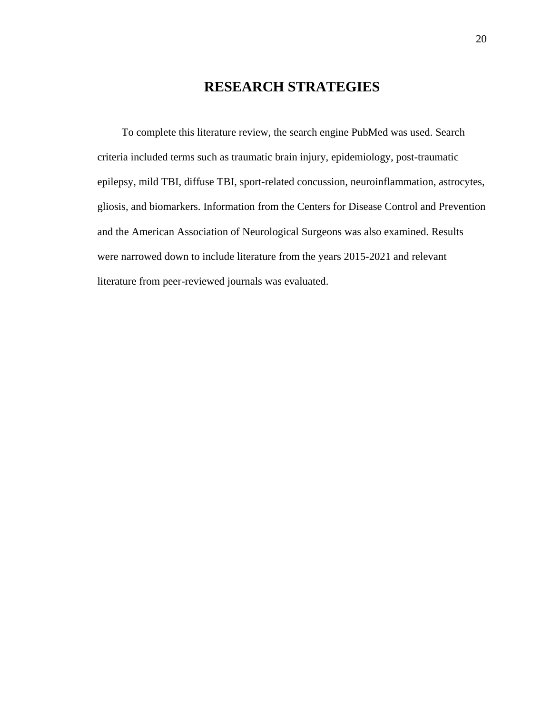# **RESEARCH STRATEGIES**

To complete this literature review, the search engine PubMed was used. Search criteria included terms such as traumatic brain injury, epidemiology, post-traumatic epilepsy, mild TBI, diffuse TBI, sport-related concussion, neuroinflammation, astrocytes, gliosis, and biomarkers. Information from the Centers for Disease Control and Prevention and the American Association of Neurological Surgeons was also examined. Results were narrowed down to include literature from the years 2015-2021 and relevant literature from peer-reviewed journals was evaluated.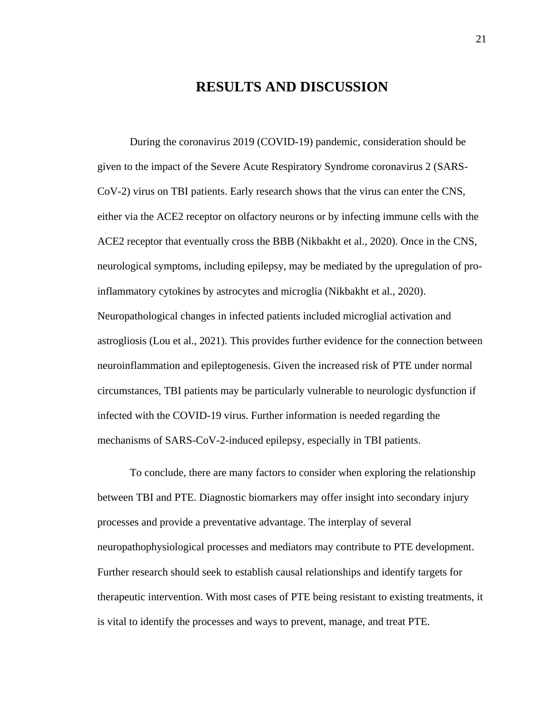# **RESULTS AND DISCUSSION**

During the coronavirus 2019 (COVID-19) pandemic, consideration should be given to the impact of the Severe Acute Respiratory Syndrome coronavirus 2 (SARS-CoV-2) virus on TBI patients. Early research shows that the virus can enter the CNS, either via the ACE2 receptor on olfactory neurons or by infecting immune cells with the ACE2 receptor that eventually cross the BBB (Nikbakht et al., 2020). Once in the CNS, neurological symptoms, including epilepsy, may be mediated by the upregulation of proinflammatory cytokines by astrocytes and microglia (Nikbakht et al., 2020). Neuropathological changes in infected patients included microglial activation and astrogliosis (Lou et al., 2021). This provides further evidence for the connection between neuroinflammation and epileptogenesis. Given the increased risk of PTE under normal circumstances, TBI patients may be particularly vulnerable to neurologic dysfunction if infected with the COVID-19 virus. Further information is needed regarding the mechanisms of SARS-CoV-2-induced epilepsy, especially in TBI patients.

To conclude, there are many factors to consider when exploring the relationship between TBI and PTE. Diagnostic biomarkers may offer insight into secondary injury processes and provide a preventative advantage. The interplay of several neuropathophysiological processes and mediators may contribute to PTE development. Further research should seek to establish causal relationships and identify targets for therapeutic intervention. With most cases of PTE being resistant to existing treatments, it is vital to identify the processes and ways to prevent, manage, and treat PTE.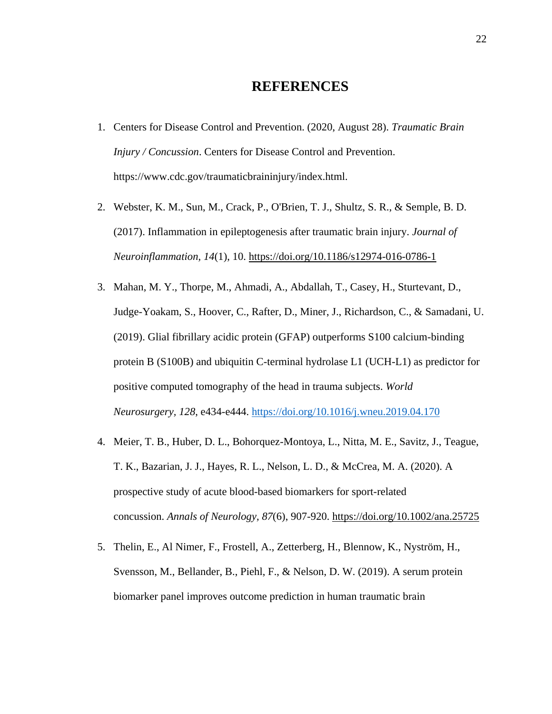# **REFERENCES**

- 1. Centers for Disease Control and Prevention. (2020, August 28). *Traumatic Brain Injury / Concussion*. Centers for Disease Control and Prevention. https://www.cdc.gov/traumaticbraininjury/index.html.
- 2. Webster, K. M., Sun, M., Crack, P., O'Brien, T. J., Shultz, S. R., & Semple, B. D. (2017). Inflammation in epileptogenesis after traumatic brain injury. *Journal of Neuroinflammation, 14*(1), 10. <https://doi.org/10.1186/s12974-016-0786-1>
- 3. Mahan, M. Y., Thorpe, M., Ahmadi, A., Abdallah, T., Casey, H., Sturtevant, D., Judge-Yoakam, S., Hoover, C., Rafter, D., Miner, J., Richardson, C., & Samadani, U. (2019). Glial fibrillary acidic protein (GFAP) outperforms S100 calcium-binding protein B (S100B) and ubiquitin C-terminal hydrolase L1 (UCH-L1) as predictor for positive computed tomography of the head in trauma subjects. *World Neurosurgery, 128*, e434-e444. <https://doi.org/10.1016/j.wneu.2019.04.170>
- 4. Meier, T. B., Huber, D. L., Bohorquez-Montoya, L., Nitta, M. E., Savitz, J., Teague, T. K., Bazarian, J. J., Hayes, R. L., Nelson, L. D., & McCrea, M. A. (2020). A prospective study of acute blood-based biomarkers for sport-related concussion. *Annals of Neurology, 87*(6), 907-920. <https://doi.org/10.1002/ana.25725>
- 5. Thelin, E., Al Nimer, F., Frostell, A., Zetterberg, H., Blennow, K., Nyström, H., Svensson, M., Bellander, B., Piehl, F., & Nelson, D. W. (2019). A serum protein biomarker panel improves outcome prediction in human traumatic brain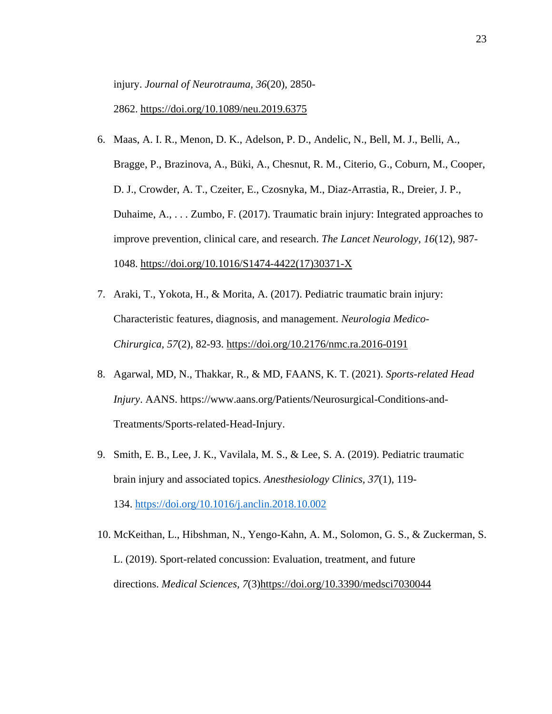injury. *Journal of Neurotrauma, 36*(20), 2850-

2862. <https://doi.org/10.1089/neu.2019.6375>

- 6. Maas, A. I. R., Menon, D. K., Adelson, P. D., Andelic, N., Bell, M. J., Belli, A., Bragge, P., Brazinova, A., Büki, A., Chesnut, R. M., Citerio, G., Coburn, M., Cooper, D. J., Crowder, A. T., Czeiter, E., Czosnyka, M., Diaz-Arrastia, R., Dreier, J. P., Duhaime, A., . . . Zumbo, F. (2017). Traumatic brain injury: Integrated approaches to improve prevention, clinical care, and research. *The Lancet Neurology, 16*(12), 987- 1048. [https://doi.org/10.1016/S1474-4422\(17\)30371-X](https://doi.org/10.1016/S1474-4422(17)30371-X)
- 7. Araki, T., Yokota, H., & Morita, A. (2017). Pediatric traumatic brain injury: Characteristic features, diagnosis, and management. *Neurologia Medico-Chirurgica, 57*(2), 82-93. <https://doi.org/10.2176/nmc.ra.2016-0191>
- 8. Agarwal, MD, N., Thakkar, R., & MD, FAANS, K. T. (2021). *Sports-related Head Injury*. AANS. https://www.aans.org/Patients/Neurosurgical-Conditions-and-Treatments/Sports-related-Head-Injury.
- 9. Smith, E. B., Lee, J. K., Vavilala, M. S., & Lee, S. A. (2019). Pediatric traumatic brain injury and associated topics. *Anesthesiology Clinics, 37*(1), 119- 134. <https://doi.org/10.1016/j.anclin.2018.10.002>
- 10. McKeithan, L., Hibshman, N., Yengo-Kahn, A. M., Solomon, G. S., & Zuckerman, S. L. (2019). Sport-related concussion: Evaluation, treatment, and future directions. *Medical Sciences, 7*(3[\)https://doi.org/10.3390/medsci7030044](https://doi.org/10.3390/medsci7030044)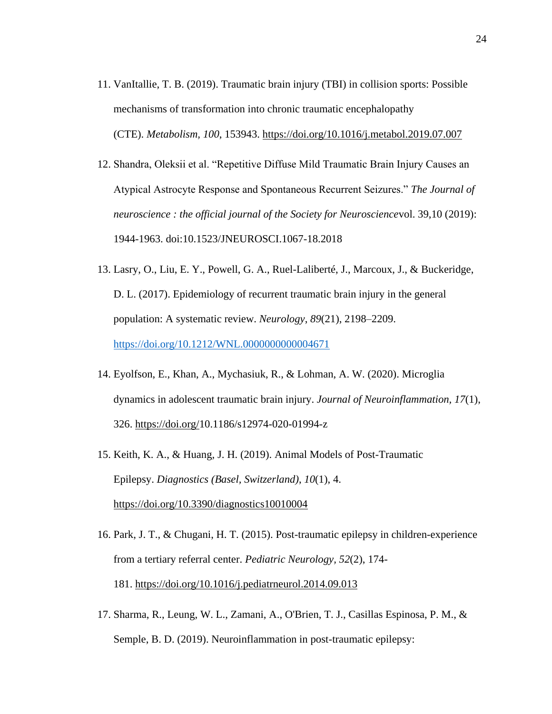- 11. VanItallie, T. B. (2019). Traumatic brain injury (TBI) in collision sports: Possible mechanisms of transformation into chronic traumatic encephalopathy (CTE). *Metabolism, 100*, 153943. <https://doi.org/10.1016/j.metabol.2019.07.007>
- 12. Shandra, Oleksii et al. "Repetitive Diffuse Mild Traumatic Brain Injury Causes an Atypical Astrocyte Response and Spontaneous Recurrent Seizures." *The Journal of neuroscience : the official journal of the Society for Neuroscience*vol. 39,10 (2019): 1944-1963. doi:10.1523/JNEUROSCI.1067-18.2018
- 13. Lasry, O., Liu, E. Y., Powell, G. A., Ruel-Laliberté, J., Marcoux, J., & Buckeridge, D. L. (2017). Epidemiology of recurrent traumatic brain injury in the general population: A systematic review. *Neurology*, *89*(21), 2198–2209. <https://doi.org/10.1212/WNL.0000000000004671>
- 14. Eyolfson, E., Khan, A., Mychasiuk, R., & Lohman, A. W. (2020). Microglia dynamics in adolescent traumatic brain injury. *Journal of Neuroinflammation, 17*(1), 326. [https://doi.org/1](https://doi.org/)0.1186/s12974-020-01994-z
- 15. Keith, K. A., & Huang, J. H. (2019). Animal Models of Post-Traumatic Epilepsy. *Diagnostics (Basel, Switzerland)*, *10*(1), 4. <https://doi.org/10.3390/diagnostics10010004>
- 16. Park, J. T., & Chugani, H. T. (2015). Post-traumatic epilepsy in children-experience from a tertiary referral center. *Pediatric Neurology, 52*(2), 174- 181. <https://doi.org/10.1016/j.pediatrneurol.2014.09.013>
- 17. Sharma, R., Leung, W. L., Zamani, A., O'Brien, T. J., Casillas Espinosa, P. M., & Semple, B. D. (2019). Neuroinflammation in post-traumatic epilepsy: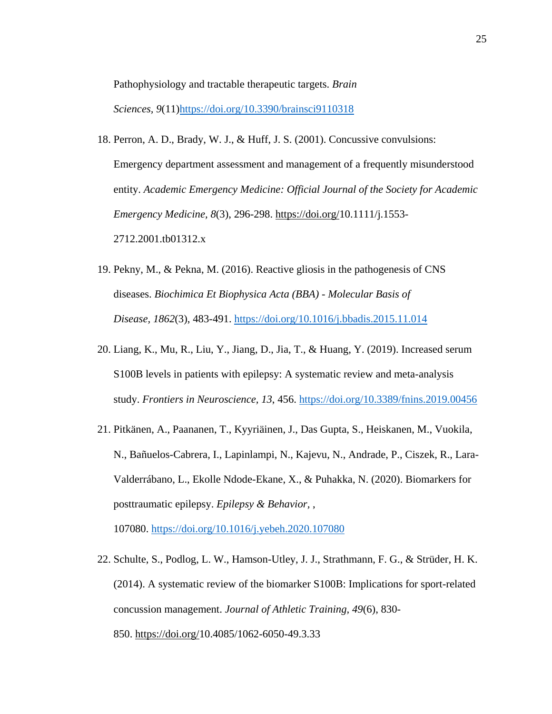Pathophysiology and tractable therapeutic targets. *Brain* 

*Sciences, 9*(11[\)https://doi.org/10.3390/brainsci9110318](https://doi.org/10.3390/brainsci9110318)

- 18. Perron, A. D., Brady, W. J., & Huff, J. S. (2001). Concussive convulsions: Emergency department assessment and management of a frequently misunderstood entity. *Academic Emergency Medicine: Official Journal of the Society for Academic Emergency Medicine, 8*(3), 296-298. [https://doi.org/1](https://doi.org/)0.1111/j.1553- 2712.2001.tb01312.x
- 19. Pekny, M., & Pekna, M. (2016). Reactive gliosis in the pathogenesis of CNS diseases. *Biochimica Et Biophysica Acta (BBA) - Molecular Basis of Disease, 1862*(3), 483-491. <https://doi.org/10.1016/j.bbadis.2015.11.014>
- 20. Liang, K., Mu, R., Liu, Y., Jiang, D., Jia, T., & Huang, Y. (2019). Increased serum S100B levels in patients with epilepsy: A systematic review and meta-analysis study. *Frontiers in Neuroscience, 13*, 456. <https://doi.org/10.3389/fnins.2019.00456>
- 21. Pitkänen, A., Paananen, T., Kyyriäinen, J., Das Gupta, S., Heiskanen, M., Vuokila, N., Bañuelos-Cabrera, I., Lapinlampi, N., Kajevu, N., Andrade, P., Ciszek, R., Lara-Valderrábano, L., Ekolle Ndode-Ekane, X., & Puhakka, N. (2020). Biomarkers for posttraumatic epilepsy. *Epilepsy & Behavior,* ,

107080. <https://doi.org/10.1016/j.yebeh.2020.107080>

22. Schulte, S., Podlog, L. W., Hamson-Utley, J. J., Strathmann, F. G., & Strüder, H. K. (2014). A systematic review of the biomarker S100B: Implications for sport-related concussion management. *Journal of Athletic Training, 49*(6), 830- 850. [https://doi.org/1](https://doi.org/)0.4085/1062-6050-49.3.33